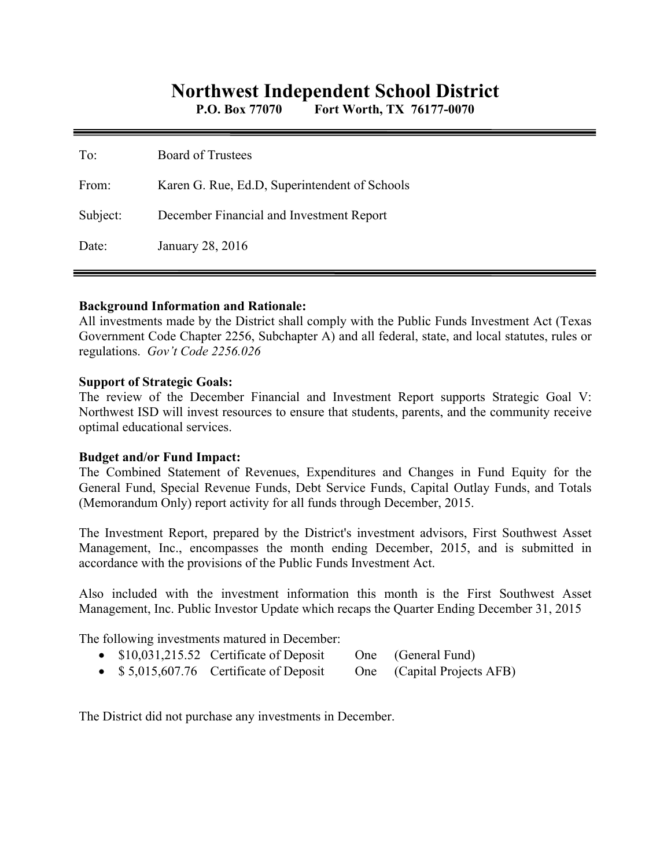# **Northwest Independent School District**

**P.O. Box 77070 Fort Worth, TX 76177-0070** 

| To:      | Board of Trustees                             |
|----------|-----------------------------------------------|
| From:    | Karen G. Rue, Ed.D, Superintendent of Schools |
| Subject: | December Financial and Investment Report      |
| Date:    | January 28, 2016                              |

#### **Background Information and Rationale:**

All investments made by the District shall comply with the Public Funds Investment Act (Texas Government Code Chapter 2256, Subchapter A) and all federal, state, and local statutes, rules or regulations. *Gov't Code 2256.026* 

#### **Support of Strategic Goals:**

The review of the December Financial and Investment Report supports Strategic Goal V: Northwest ISD will invest resources to ensure that students, parents, and the community receive optimal educational services.

### **Budget and/or Fund Impact:**

The Combined Statement of Revenues, Expenditures and Changes in Fund Equity for the General Fund, Special Revenue Funds, Debt Service Funds, Capital Outlay Funds, and Totals (Memorandum Only) report activity for all funds through December, 2015.

The Investment Report, prepared by the District's investment advisors, First Southwest Asset Management, Inc., encompasses the month ending December, 2015, and is submitted in accordance with the provisions of the Public Funds Investment Act.

Also included with the investment information this month is the First Southwest Asset Management, Inc. Public Investor Update which recaps the Quarter Ending December 31, 2015

The following investments matured in December:

- \$10,031,215.52 Certificate of Deposit One (General Fund)
- \$5,015,607.76 Certificate of Deposit One (Capital Projects AFB)

The District did not purchase any investments in December.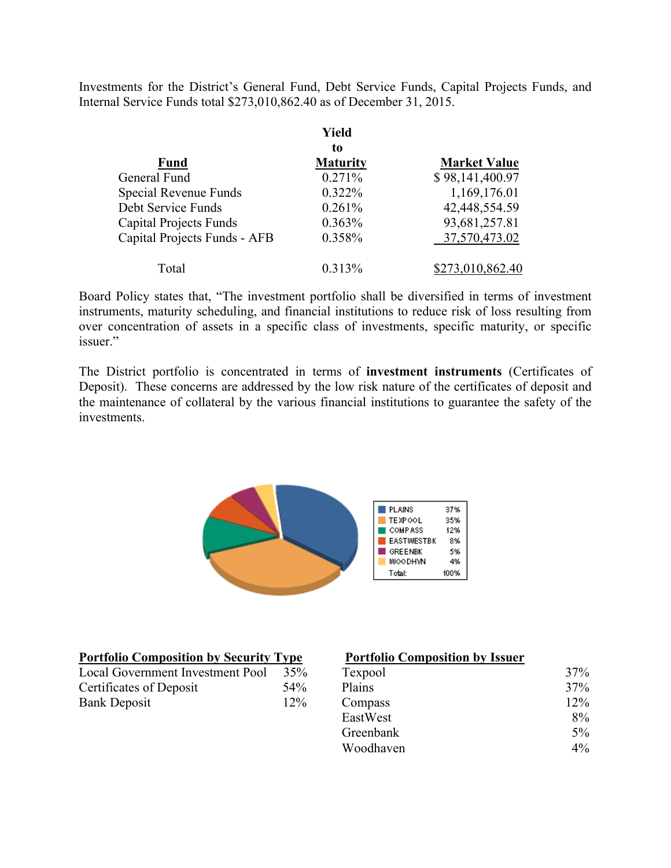Investments for the District's General Fund, Debt Service Funds, Capital Projects Funds, and Internal Service Funds total \$273,010,862.40 as of December 31, 2015.

|                               | Yield           |                     |
|-------------------------------|-----------------|---------------------|
|                               | to              |                     |
| <b>Fund</b>                   | <b>Maturity</b> | <b>Market Value</b> |
| General Fund                  | 0.271%          | \$98,141,400.97     |
| Special Revenue Funds         | 0.322%          | 1,169,176.01        |
| Debt Service Funds            | 0.261%          | 42,448,554.59       |
| <b>Capital Projects Funds</b> | 0.363%          | 93,681,257.81       |
| Capital Projects Funds - AFB  | 0.358%          | 37,570,473.02       |
| Total                         | $0.313\%$       | \$273,010,862.40    |

Board Policy states that, "The investment portfolio shall be diversified in terms of investment instruments, maturity scheduling, and financial institutions to reduce risk of loss resulting from over concentration of assets in a specific class of investments, specific maturity, or specific issuer."

The District portfolio is concentrated in terms of **investment instruments** (Certificates of Deposit). These concerns are addressed by the low risk nature of the certificates of deposit and the maintenance of collateral by the various financial institutions to guarantee the safety of the investments.



| <b>Portfolio Composition by Security Type</b> |     | <b>Portfolio Composition by Issuer</b> |        |
|-----------------------------------------------|-----|----------------------------------------|--------|
| Local Government Investment Pool<br>35%       |     | Texpool                                | 37%    |
| Certificates of Deposit                       | 54% | Plains                                 | 37%    |
| <b>Bank Deposit</b>                           | 12% | Compass                                | $12\%$ |
|                                               |     | EastWest                               | 8%     |
|                                               |     | Greenbank                              | $5\%$  |
|                                               |     | Woodhaven                              | $4\%$  |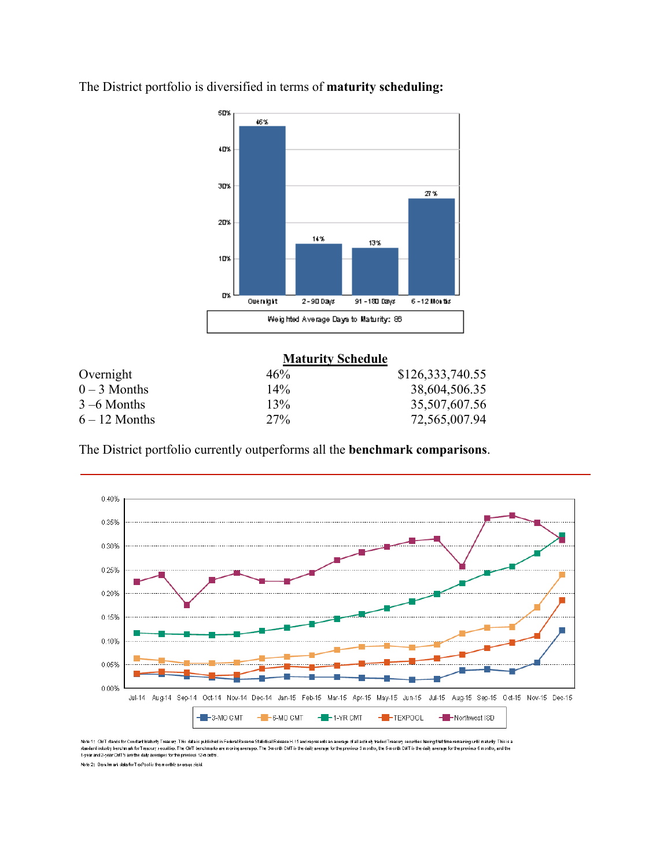

The District portfolio is diversified in terms of **maturity scheduling:** 

|                 | <b>Maturity Schedule</b> |                  |
|-----------------|--------------------------|------------------|
| Overnight       | 46%                      | \$126,333,740.55 |
| $0 - 3$ Months  | $14\%$                   | 38,604,506.35    |
| $3 - 6$ Months  | 13%                      | 35,507,607.56    |
| $6 - 12$ Months | 27%                      | 72,565,007.94    |

The District portfolio currently outperforms all the **benchmark comparisons**.



Note 1: CMT stands for Constant Maturity Treasury. This data is published in Federal Resente Standard and represents an average of all actively traded Treasury securities having until maturity. This is a<br>standard industry

Note 2: Benchmark data for TexPool is the monthly average yield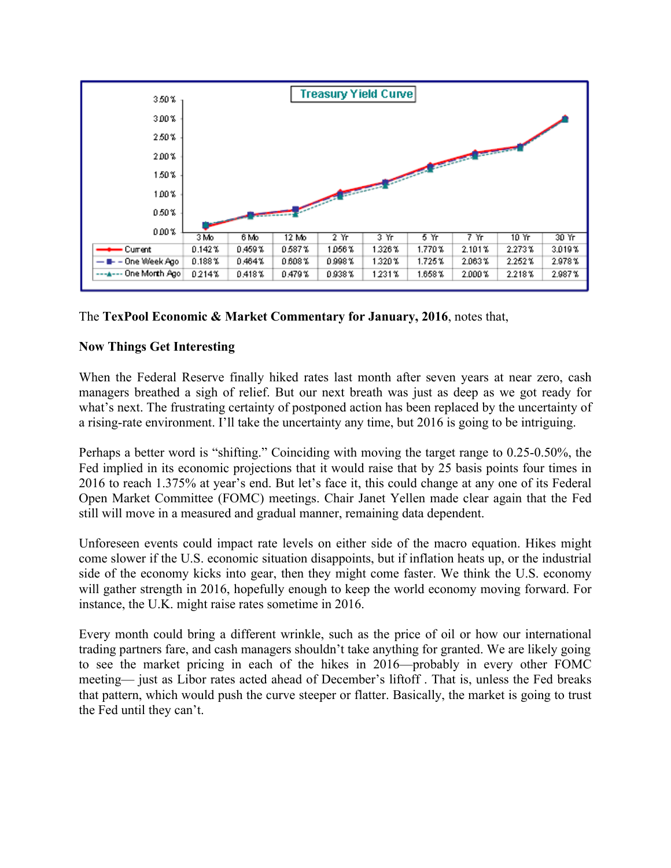

# The **TexPool Economic & Market Commentary for January, 2016**, notes that,

# **Now Things Get Interesting**

When the Federal Reserve finally hiked rates last month after seven years at near zero, cash managers breathed a sigh of relief. But our next breath was just as deep as we got ready for what's next. The frustrating certainty of postponed action has been replaced by the uncertainty of a rising-rate environment. I'll take the uncertainty any time, but 2016 is going to be intriguing.

Perhaps a better word is "shifting." Coinciding with moving the target range to 0.25-0.50%, the Fed implied in its economic projections that it would raise that by 25 basis points four times in 2016 to reach 1.375% at year's end. But let's face it, this could change at any one of its Federal Open Market Committee (FOMC) meetings. Chair Janet Yellen made clear again that the Fed still will move in a measured and gradual manner, remaining data dependent.

Unforeseen events could impact rate levels on either side of the macro equation. Hikes might come slower if the U.S. economic situation disappoints, but if inflation heats up, or the industrial side of the economy kicks into gear, then they might come faster. We think the U.S. economy will gather strength in 2016, hopefully enough to keep the world economy moving forward. For instance, the U.K. might raise rates sometime in 2016.

Every month could bring a different wrinkle, such as the price of oil or how our international trading partners fare, and cash managers shouldn't take anything for granted. We are likely going to see the market pricing in each of the hikes in 2016—probably in every other FOMC meeting— just as Libor rates acted ahead of December's liftoff . That is, unless the Fed breaks that pattern, which would push the curve steeper or flatter. Basically, the market is going to trust the Fed until they can't.